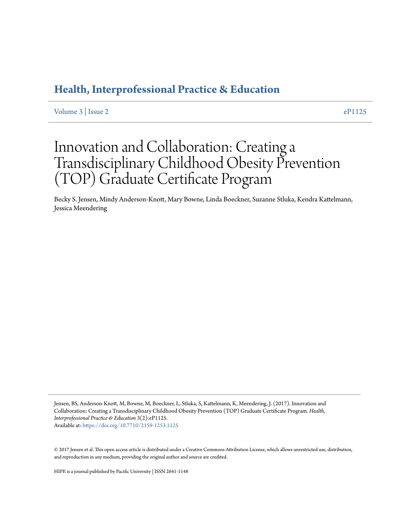### **[Health, Interprofessional Practice & Education](https://commons.pacificu.edu/hip)**

Volume  $3 \mid$  Issue  $2 \mid$ 

## Innovation and Collaboration: Creating a Transdisciplinary Childhood Obesity Prevention (TOP) Graduate Certificate Program

Becky S. Jensen, Mindy Anderson-Knott, Mary Bowne, Linda Boeckner, Suzanne Stluka, Kendra Kattelmann, Jessica Meendering

Jensen, BS, Anderson-Knott, M, Bowne, M, Boeckner, L, Stluka, S, Kattelmann, K, Meendering, J. (2017). Innovation and Collaboration: Creating a Transdisciplinary Childhood Obesity Prevention (TOP) Graduate Certificate Program. *Health, Interprofessional Practice & Education* 3(2):eP1125. Available at: <https://doi.org/10.7710/2159-1253.1125>

© 2017 Jensen et al. This open access article is distributed under a Creative Commons Attribution License, which allows unrestricted use, distribution, and reproduction in any medium, providing the original author and source are credited.

HIPE is a journal published by Pacific University | ISSN 2641-1148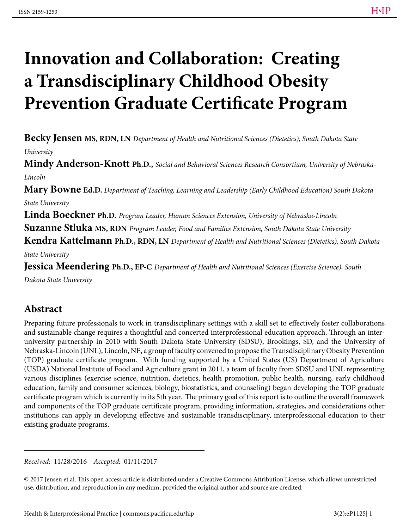# **Innovation and Collaboration: Creating a Transdisciplinary Childhood Obesity Prevention Graduate Certificate Program**

**Becky Jensen MS, RDN, LN** *Department of Health and Nutritional Sciences (Dietetics), South Dakota State University*

**Mindy Anderson-Knott Ph.D.,** *Social and Behavioral Sciences Research Consortium, University of Nebraska-Lincoln*

**Mary Bowne Ed.D.** *Department of Teaching, Learning and Leadership (Early Childhood Education) South Dakota State University*

**Linda Boeckner Ph.D.** *Program Leader, Human Sciences Extension, University of Nebraska-Lincoln* **Suzanne Stluka MS, RDN** *Program Leader, Food and Families Extension, South Dakota State University*

**Kendra Kattelmann Ph.D., RDN, LN** *Department of Health and Nutritional Sciences (Dietetics), South Dakota* 

*State University*

**Jessica Meendering Ph.D., EP-C** *Department of Health and Nutritional Sciences (Exercise Science), South* 

*Dakota State University*

#### **Abstract**

Preparing future professionals to work in transdisciplinary settings with a skill set to effectively foster collaborations and sustainable change requires a thoughtful and concerted interprofessional education approach. Through an interuniversity partnership in 2010 with South Dakota State University (SDSU), Brookings, SD, and the University of Nebraska-Lincoln (UNL), Lincoln, NE, a group of faculty convened to propose the Transdisciplinary Obesity Prevention (TOP) graduate certificate program. With funding supported by a United States (US) Department of Agriculture (USDA) National Institute of Food and Agriculture grant in 2011, a team of faculty from SDSU and UNL representing various disciplines (exercise science, nutrition, dietetics, health promotion, public health, nursing, early childhood education, family and consumer sciences, biology, biostatistics, and counseling) began developing the TOP graduate certificate program which is currently in its 5th year. The primary goal of this report is to outline the overall framework and components of the TOP graduate certificate program, providing information, strategies, and considerations other institutions can apply in developing effective and sustainable transdisciplinary, interprofessional education to their existing graduate programs.

*Received:* 11/28/2016 *Accepted:* 01/11/2017

© 2017 Jensen et al. This open access article is distributed under a Creative Commons Attribution License, which allows unrestricted use, distribution, and reproduction in any medium, provided the original author and source are credited.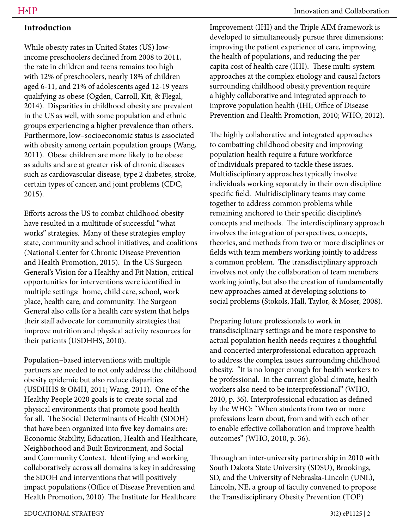#### **Introduction**

While obesity rates in United States (US) lowincome preschoolers declined from 2008 to 2011, the rate in children and teens remains too high with 12% of preschoolers, nearly 18% of children aged 6-11, and 21% of adolescents aged 12-19 years qualifying as obese (Ogden, Carroll, Kit, & Flegal, 2014). Disparities in childhood obesity are prevalent in the US as well, with some population and ethnic groups experiencing a higher prevalence than others. Furthermore, low–socioeconomic status is associated with obesity among certain population groups (Wang, 2011). Obese children are more likely to be obese as adults and are at greater risk of chronic diseases such as cardiovascular disease, type 2 diabetes, stroke, certain types of cancer, and joint problems (CDC, 2015).

Efforts across the US to combat childhood obesity have resulted in a multitude of successful "what works" strategies. Many of these strategies employ state, community and school initiatives, and coalitions (National Center for Chronic Disease Prevention and Health Promotion, 2015). In the US Surgeon General's Vision for a Healthy and Fit Nation, critical opportunities for interventions were identified in multiple settings: home, child care, school, work place, health care, and community. The Surgeon General also calls for a health care system that helps their staff advocate for community strategies that improve nutrition and physical activity resources for their patients (USDHHS, 2010).

Population–based interventions with multiple partners are needed to not only address the childhood obesity epidemic but also reduce disparities (USDHHS & OMH, 2011; Wang, 2011). One of the Healthy People 2020 goals is to create social and physical environments that promote good health for all. The Social Determinants of Health (SDOH) that have been organized into five key domains are: Economic Stability, Education, Health and Healthcare, Neighborhood and Built Environment, and Social and Community Context. Identifying and working collaboratively across all domains is key in addressing the SDOH and interventions that will positively impact populations (Office of Disease Prevention and Health Promotion, 2010). The Institute for Healthcare

Improvement (IHI) and the Triple AIM framework is developed to simultaneously pursue three dimensions: improving the patient experience of care, improving the health of populations, and reducing the per capita cost of health care (IHI). These multi-system approaches at the complex etiology and causal factors surrounding childhood obesity prevention require a highly collaborative and integrated approach to improve population health (IHI; Office of Disease Prevention and Health Promotion, 2010; WHO, 2012).

The highly collaborative and integrated approaches to combatting childhood obesity and improving population health require a future workforce of individuals prepared to tackle these issues. Multidisciplinary approaches typically involve individuals working separately in their own discipline specific field. Multidisciplinary teams may come together to address common problems while remaining anchored to their specific discipline's concepts and methods. The interdisciplinary approach involves the integration of perspectives, concepts, theories, and methods from two or more disciplines or fields with team members working jointly to address a common problem. The transdisciplinary approach involves not only the collaboration of team members working jointly, but also the creation of fundamentally new approaches aimed at developing solutions to social problems (Stokols, Hall, Taylor, & Moser, 2008).

Preparing future professionals to work in transdisciplinary settings and be more responsive to actual population health needs requires a thoughtful and concerted interprofessional education approach to address the complex issues surrounding childhood obesity. "It is no longer enough for health workers to be professional. In the current global climate, health workers also need to be interprofessional" (WHO, 2010, p. 36). Interprofessional education as defined by the WHO: "When students from two or more professions learn about, from and with each other to enable effective collaboration and improve health outcomes" (WHO, 2010, p. 36).

Through an inter-university partnership in 2010 with South Dakota State University (SDSU), Brookings, SD, and the University of Nebraska-Lincoln (UNL), Lincoln, NE, a group of faculty convened to propose the Transdisciplinary Obesity Prevention (TOP)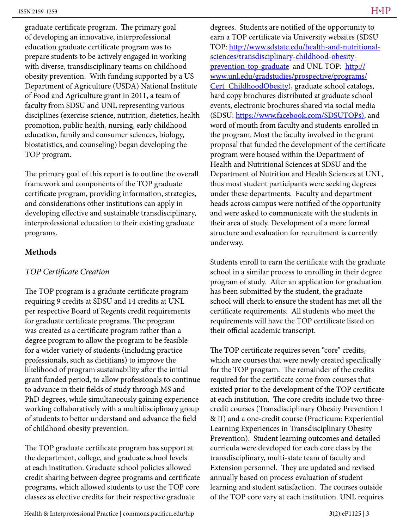graduate certificate program. The primary goal of developing an innovative, interprofessional education graduate certificate program was to prepare students to be actively engaged in working with diverse, transdisciplinary teams on childhood obesity prevention. With funding supported by a US Department of Agriculture (USDA) National Institute of Food and Agriculture grant in 2011, a team of faculty from SDSU and UNL representing various disciplines (exercise science, nutrition, dietetics, health promotion, public health, nursing, early childhood education, family and consumer sciences, biology, biostatistics, and counseling) began developing the TOP program.

The primary goal of this report is to outline the overall framework and components of the TOP graduate certificate program, providing information, strategies, and considerations other institutions can apply in developing effective and sustainable transdisciplinary, interprofessional education to their existing graduate programs.

#### **Methods**

#### *TOP Certificate Creation*

The TOP program is a graduate certificate program requiring 9 credits at SDSU and 14 credits at UNL per respective Board of Regents credit requirements for graduate certificate programs. The program was created as a certificate program rather than a degree program to allow the program to be feasible for a wider variety of students (including practice professionals, such as dietitians) to improve the likelihood of program sustainability after the initial grant funded period, to allow professionals to continue to advance in their fields of study through MS and PhD degrees, while simultaneously gaining experience working collaboratively with a multidisciplinary group of students to better understand and advance the field of childhood obesity prevention.

The TOP graduate certificate program has support at the department, college, and graduate school levels at each institution. Graduate school policies allowed credit sharing between degree programs and certificate programs, which allowed students to use the TOP core classes as elective credits for their respective graduate

degrees. Students are notified of the opportunity to earn a TOP certificate via University websites (SDSU TOP: http://www.sdstate.edu/health-and-nutritionalsciences/transdisciplinary-childhood-obesityprevention-top-graduate and UNL TOP: http:// www.unl.edu/gradstudies/prospective/programs/ Cert\_ChildhoodObesity), graduate school catalogs, hard copy brochures distributed at graduate school events, electronic brochures shared via social media (SDSU: https://www.facebook.com/SDSUTOPs), and word of mouth from faculty and students enrolled in the program. Most the faculty involved in the grant proposal that funded the development of the certificate program were housed within the Department of Health and Nutritional Sciences at SDSU and the Department of Nutrition and Health Sciences at UNL, thus most student participants were seeking degrees under these departments. Faculty and department heads across campus were notified of the opportunity and were asked to communicate with the students in their area of study. Development of a more formal structure and evaluation for recruitment is currently underway.

Students enroll to earn the certificate with the graduate school in a similar process to enrolling in their degree program of study. After an application for graduation has been submitted by the student, the graduate school will check to ensure the student has met all the certificate requirements. All students who meet the requirements will have the TOP certificate listed on their official academic transcript.

The TOP certificate requires seven "core" credits, which are courses that were newly created specifically for the TOP program. The remainder of the credits required for the certificate come from courses that existed prior to the development of the TOP certificate at each institution. The core credits include two threecredit courses (Transdisciplinary Obesity Prevention I & II) and a one-credit course (Practicum: Experiential Learning Experiences in Transdisciplinary Obesity Prevention). Student learning outcomes and detailed curricula were developed for each core class by the transdisciplinary, multi-state team of faculty and Extension personnel. They are updated and revised annually based on process evaluation of student learning and student satisfaction. The courses outside of the TOP core vary at each institution. UNL requires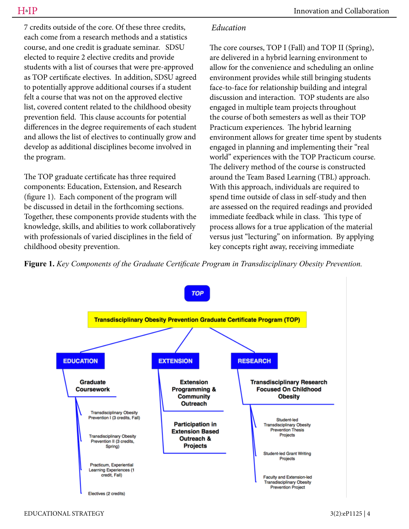7 credits outside of the core. Of these three credits, each come from a research methods and a statistics course, and one credit is graduate seminar. SDSU elected to require 2 elective credits and provide students with a list of courses that were pre-approved as TOP certificate electives. In addition, SDSU agreed to potentially approve additional courses if a student felt a course that was not on the approved elective list, covered content related to the childhood obesity prevention field. This clause accounts for potential differences in the degree requirements of each student and allows the list of electives to continually grow and develop as additional disciplines become involved in the program.

The TOP graduate certificate has three required components: Education, Extension, and Research (figure 1). Each component of the program will be discussed in detail in the forthcoming sections. Together, these components provide students with the knowledge, skills, and abilities to work collaboratively with professionals of varied disciplines in the field of childhood obesity prevention.

#### *Education*

The core courses, TOP I (Fall) and TOP II (Spring), are delivered in a hybrid learning environment to allow for the convenience and scheduling an online environment provides while still bringing students face-to-face for relationship building and integral discussion and interaction. TOP students are also engaged in multiple team projects throughout the course of both semesters as well as their TOP Practicum experiences. The hybrid learning environment allows for greater time spent by students engaged in planning and implementing their "real world" experiences with the TOP Practicum course. The delivery method of the course is constructed around the Team Based Learning (TBL) approach. With this approach, individuals are required to spend time outside of class in self-study and then are assessed on the required readings and provided immediate feedback while in class. This type of process allows for a true application of the material versus just "lecturing" on information. By applying key concepts right away, receiving immediate

**Figure 1.** *Key Components of the Graduate Certificate Program in Transdisciplinary Obesity Prevention.* 

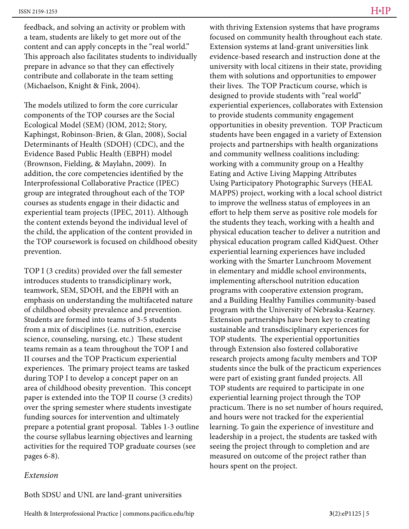feedback, and solving an activity or problem with a team, students are likely to get more out of the content and can apply concepts in the "real world." This approach also facilitates students to individually prepare in advance so that they can effectively contribute and collaborate in the team setting (Michaelson, Knight & Fink, 2004).

The models utilized to form the core curricular components of the TOP courses are the Social Ecological Model (SEM) (IOM, 2012; Story, Kaphingst, Robinson-Brien, & Glan, 2008), Social Determinants of Health (SDOH) (CDC), and the Evidence Based Public Health (EBPH) model (Brownson, Fielding, & Maylahn, 2009). In addition, the core competencies identified by the Interprofessional Collaborative Practice (IPEC) group are integrated throughout each of the TOP courses as students engage in their didactic and experiential team projects (IPEC, 2011). Although the content extends beyond the individual level of the child, the application of the content provided in the TOP coursework is focused on childhood obesity prevention.

TOP I (3 credits) provided over the fall semester introduces students to transdiciplinary work, teamwork, SEM, SDOH, and the EBPH with an emphasis on understanding the multifaceted nature of childhood obesity prevalence and prevention. Students are formed into teams of 3-5 students from a mix of disciplines (i.e. nutrition, exercise science, counseling, nursing, etc.) These student teams remain as a team throughout the TOP I and II courses and the TOP Practicum experiential experiences. The primary project teams are tasked during TOP I to develop a concept paper on an area of childhood obesity prevention. This concept paper is extended into the TOP II course (3 credits) over the spring semester where students investigate funding sources for intervention and ultimately prepare a potential grant proposal. Tables 1-3 outline the course syllabus learning objectives and learning activities for the required TOP graduate courses (see pages 6-8).

#### *Extension*

with thriving Extension systems that have programs focused on community health throughout each state. Extension systems at land-grant universities link evidence-based research and instruction done at the university with local citizens in their state, providing them with solutions and opportunities to empower their lives. The TOP Practicum course, which is designed to provide students with "real world" experiential experiences, collaborates with Extension to provide students community engagement opportunities in obesity prevention. TOP Practicum students have been engaged in a variety of Extension projects and partnerships with health organizations and community wellness coalitions including: working with a community group on a Healthy Eating and Active Living Mapping Attributes Using Participatory Photographic Surveys (HEAL MAPPS) project, working with a local school district to improve the wellness status of employees in an effort to help them serve as positive role models for the students they teach, working with a health and physical education teacher to deliver a nutrition and physical education program called KidQuest. Other experiential learning experiences have included working with the Smarter Lunchroom Movement in elementary and middle school environments, implementing afterschool nutrition education programs with cooperative extension program, and a Building Healthy Families community-based program with the University of Nebraska-Kearney. Extension partnerships have been key to creating sustainable and transdisciplinary experiences for TOP students. The experiential opportunities through Extension also fostered collaborative research projects among faculty members and TOP students since the bulk of the practicum experiences were part of existing grant funded projects. All TOP students are required to participate in one experiential learning project through the TOP practicum. There is no set number of hours required, and hours were not tracked for the experiential learning. To gain the experience of investiture and leadership in a project, the students are tasked with seeing the project through to completion and are measured on outcome of the project rather than hours spent on the project.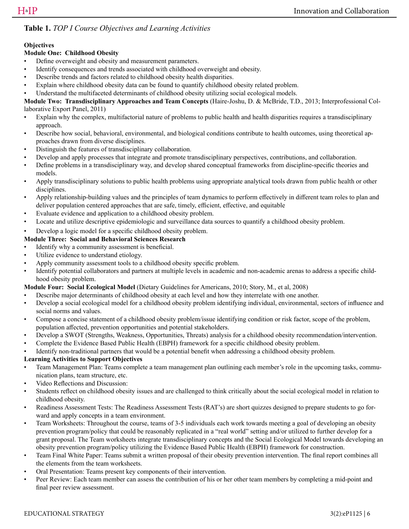#### **Table 1.** *TOP I Course Objectives and Learning Activities*

#### **Objectives**

#### **Module One: Childhood Obesity**

- Define overweight and obesity and measurement parameters.
- Identify consequences and trends associated with childhood overweight and obesity.
- Describe trends and factors related to childhood obesity health disparities.
- Explain where childhood obesity data can be found to quantify childhood obesity related problem.
- Understand the multifaceted determinants of childhood obesity utilizing social ecological models.

**Module Two: Transdisciplinary Approaches and Team Concepts** (Haire-Joshu, D. & McBride, T.D., 2013; Interprofessional Collaborative Export Panel, 2011)

- Explain why the complex, multifactorial nature of problems to public health and health disparities requires a transdisciplinary approach.
- Describe how social, behavioral, environmental, and biological conditions contribute to health outcomes, using theoretical approaches drawn from diverse disciplines.
- Distinguish the features of transdisciplinary collaboration.
- Develop and apply processes that integrate and promote transdisciplinary perspectives, contributions, and collaboration.
- Define problems in a transdisciplinary way, and develop shared conceptual frameworks from discipline-specific theories and models.
- Apply transdisciplinary solutions to public health problems using appropriate analytical tools drawn from public health or other disciplines.
- Apply relationship-building values and the principles of team dynamics to perform effectively in different team roles to plan and deliver population centered approaches that are safe, timely, efficient, effective, and equitable
- Evaluate evidence and application to a childhood obesity problem.
- Locate and utilize descriptive epidemiologic and surveillance data sources to quantify a childhood obesity problem.

#### • Develop a logic model for a specific childhood obesity problem.

#### **Module Three: Social and Behavioral Sciences Research**

- Identify why a community assessment is beneficial.
- Utilize evidence to understand etiology.
- Apply community assessment tools to a childhood obesity specific problem.
- Identify potential collaborators and partners at multiple levels in academic and non-academic arenas to address a specific childhood obesity problem.

#### **Module Four: Social Ecological Model** (Dietary Guidelines for Americans, 2010; Story, M., et al, 2008)

- Describe major determinants of childhood obesity at each level and how they interrelate with one another.
- Develop a social ecological model for a childhood obesity problem identifying individual, environmental, sectors of influence and social norms and values.
- Compose a concise statement of a childhood obesity problem/issue identifying condition or risk factor, scope of the problem, population affected, prevention opportunities and potential stakeholders.
- Develop a SWOT (Strengths, Weakness, Opportunities, Threats) analysis for a childhood obesity recommendation/intervention.
- Complete the Evidence Based Public Health (EBPH) framework for a specific childhood obesity problem.
- Identify non-traditional partners that would be a potential benefit when addressing a childhood obesity problem.

#### **Learning Activities to Support Objectives**

- Team Management Plan: Teams complete a team management plan outlining each member's role in the upcoming tasks, communication plans, team structure, etc.
- Video Reflections and Discussion:
- Students reflect on childhood obesity issues and are challenged to think critically about the social ecological model in relation to childhood obesity.
- Readiness Assessment Tests: The Readiness Assessment Tests (RAT's) are short quizzes designed to prepare students to go forward and apply concepts in a team environment.
- Team Worksheets: Throughout the course, teams of 3-5 individuals each work towards meeting a goal of developing an obesity prevention program/policy that could be reasonably replicated in a "real world" setting and/or utilized to further develop for a grant proposal. The Team worksheets integrate transdisciplinary concepts and the Social Ecological Model towards developing an obesity prevention program/policy utilizing the Evidence Based Public Health (EBPH) framework for construction.
- Team Final White Paper: Teams submit a written proposal of their obesity prevention intervention. The final report combines all the elements from the team worksheets.
- Oral Presentation: Teams present key components of their intervention.
- Peer Review: Each team member can assess the contribution of his or her other team members by completing a mid-point and final peer review assessment.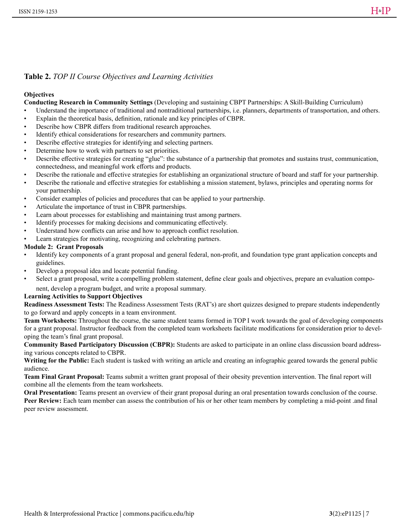#### **Table 2.** *TOP II Course Objectives and Learning Activities*

#### **Objectives**

**Conducting Research in Community Settings** (Developing and sustaining CBPT Partnerships: A Skill-Building Curriculum)

- Understand the importance of traditional and nontraditional partnerships, i.e. planners, departments of transportation, and others.
- Explain the theoretical basis, definition, rationale and key principles of CBPR.
- Describe how CBPR differs from traditional research approaches.
- Identify ethical considerations for researchers and community partners.
- Describe effective strategies for identifying and selecting partners.
- Determine how to work with partners to set priorities.
- Describe effective strategies for creating "glue": the substance of a partnership that promotes and sustains trust, communication, connectedness, and meaningful work efforts and products.
- Describe the rationale and effective strategies for establishing an organizational structure of board and staff for your partnership.
- Describe the rationale and effective strategies for establishing a mission statement, bylaws, principles and operating norms for your partnership.
- Consider examples of policies and procedures that can be applied to your partnership.
- Articulate the importance of trust in CBPR partnerships.
- Learn about processes for establishing and maintaining trust among partners.
- Identify processes for making decisions and communicating effectively.
- Understand how conflicts can arise and how to approach conflict resolution.
- Learn strategies for motivating, recognizing and celebrating partners.

#### **Module 2: Grant Proposals**

- Identify key components of a grant proposal and general federal, non-profit, and foundation type grant application concepts and guidelines.
- Develop a proposal idea and locate potential funding.
- Select a grant proposal, write a compelling problem statement, define clear goals and objectives, prepare an evaluation component, develop a program budget, and write a proposal summary.

#### **Learning Activities to Support Objectives**

**Readiness Assessment Tests:** The Readiness Assessment Tests (RAT's) are short quizzes designed to prepare students independently to go forward and apply concepts in a team environment.

**Team Worksheets:** Throughout the course, the same student teams formed in TOP I work towards the goal of developing components for a grant proposal. Instructor feedback from the completed team worksheets facilitate modifications for consideration prior to developing the team's final grant proposal.

**Community Based Participatory Discussion (CBPR):** Students are asked to participate in an online class discussion board addressing various concepts related to CBPR.

**Writing for the Public:** Each student is tasked with writing an article and creating an infographic geared towards the general public audience.

**Team Final Grant Proposal:** Teams submit a written grant proposal of their obesity prevention intervention. The final report will combine all the elements from the team worksheets.

**Oral Presentation:** Teams present an overview of their grant proposal during an oral presentation towards conclusion of the course. **Peer Review:** Each team member can assess the contribution of his or her other team members by completing a mid-point .and final peer review assessment.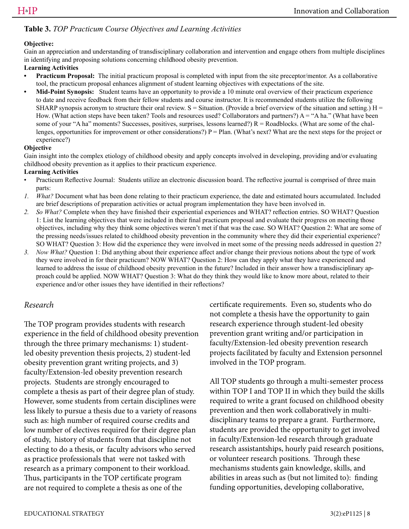#### **Table 3.** *TOP Practicum Course Objectives and Learning Activities*

#### **Objective:**

Gain an appreciation and understanding of transdisciplinary collaboration and intervention and engage others from multiple disciplines in identifying and proposing solutions concerning childhood obesity prevention.

#### **Learning Activities**

- **• Practicum Proposal:** The initial practicum proposal is completed with input from the site preceptor/mentor. As a collaborative tool, the practicum proposal enhances alignment of student learning objectives with expectations of the site.
- **• Mid-Point Synopsis:** Student teams have an opportunity to provide a 10 minute oral overview of their practicum experience to date and receive feedback from their fellow students and course instructor. It is recommended students utilize the following SHARP synopsis acronym to structure their oral review.  $S =$  Situation. (Provide a brief overview of the situation and setting.)  $H =$ How. (What action steps have been taken? Tools and resources used? Collaborators and partners?)  $A = "A ha."$  (What have been some of your "A ha" moments? Successes, positives, surprises, lessons learned?)  $R =$  Roadblocks. (What are some of the challenges, opportunities for improvement or other considerations?)  $P = Plan$ . (What's next? What are the next steps for the project or experience?)

#### **Objective**

Gain insight into the complex etiology of childhood obesity and apply concepts involved in developing, providing and/or evaluating childhood obesity prevention as it applies to their practicum experience.

#### **Learning Activities**

- Practicum Reflective Journal: Students utilize an electronic discussion board. The reflective journal is comprised of three main parts:
- *1. What?* Document what has been done relating to their practicum experience, the date and estimated hours accumulated. Included are brief descriptions of preparation activities or actual program implementation they have been involved in.
- *2. So What?* Complete when they have finished their experiential experiences and WHAT? reflection entries. SO WHAT? Question 1: List the learning objectives that were included in their final practicum proposal and evaluate their progress on meeting those objectives, including why they think some objectives weren't met if that was the case. SO WHAT? Question 2: What are some of the pressing needs/issues related to childhood obesity prevention in the community where they did their experiential experience? SO WHAT? Question 3: How did the experience they were involved in meet some of the pressing needs addressed in question 2?
- *3. Now What?* Question 1: Did anything about their experience affect and/or change their previous notions about the type of work they were involved in for their practicum? NOW WHAT? Question 2: How can they apply what they have experienced and learned to address the issue of childhood obesity prevention in the future? Included in their answer how a transdisciplinary approach could be applied. NOW WHAT? Question 3: What do they think they would like to know more about, related to their experience and/or other issues they have identified in their reflections?

#### *Research*

The TOP program provides students with research experience in the field of childhood obesity prevention through the three primary mechanisms: 1) studentled obesity prevention thesis projects, 2) student-led obesity prevention grant writing projects, and 3) faculty/Extension-led obesity prevention research projects. Students are strongly encouraged to complete a thesis as part of their degree plan of study. However, some students from certain disciplines were less likely to pursue a thesis due to a variety of reasons such as: high number of required course credits and low number of electives required for their degree plan of study, history of students from that discipline not electing to do a thesis, or faculty advisors who served as practice professionals that were not tasked with research as a primary component to their workload. Thus, participants in the TOP certificate program are not required to complete a thesis as one of the

certificate requirements. Even so, students who do not complete a thesis have the opportunity to gain research experience through student-led obesity prevention grant writing and/or participation in faculty/Extension-led obesity prevention research projects facilitated by faculty and Extension personnel involved in the TOP program.

All TOP students go through a multi-semester process within TOP I and TOP II in which they build the skills required to write a grant focused on childhood obesity prevention and then work collaboratively in multidisciplinary teams to prepare a grant. Furthermore, students are provided the opportunity to get involved in faculty/Extension-led research through graduate research assistantships, hourly paid research positions, or volunteer research positions. Through these mechanisms students gain knowledge, skills, and abilities in areas such as (but not limited to): finding funding opportunities, developing collaborative,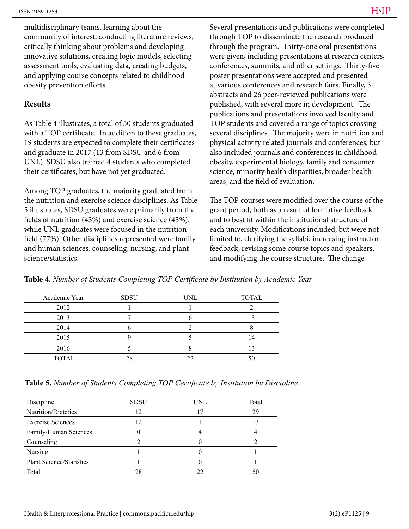multidisciplinary teams, learning about the community of interest, conducting literature reviews, critically thinking about problems and developing innovative solutions, creating logic models, selecting assessment tools, evaluating data, creating budgets, and applying course concepts related to childhood obesity prevention efforts.

#### **Results**

As Table 4 illustrates, a total of 50 students graduated with a TOP certificate. In addition to these graduates, 19 students are expected to complete their certificates and graduate in 2017 (13 from SDSU and 6 from UNL). SDSU also trained 4 students who completed their certificates, but have not yet graduated.

Among TOP graduates, the majority graduated from the nutrition and exercise science disciplines. As Table 5 illustrates, SDSU graduates were primarily from the fields of nutrition (43%) and exercise science (43%), while UNL graduates were focused in the nutrition field (77%). Other disciplines represented were family and human sciences, counseling, nursing, and plant science/statistics.

Several presentations and publications were completed through TOP to disseminate the research produced through the program. Thirty-one oral presentations were given, including presentations at research centers, conferences, summits, and other settings. Thirty-five poster presentations were accepted and presented at various conferences and research fairs. Finally, 31 abstracts and 26 peer-reviewed publications were published, with several more in development. The publications and presentations involved faculty and TOP students and covered a range of topics crossing several disciplines. The majority were in nutrition and physical activity related journals and conferences, but also included journals and conferences in childhood obesity, experimental biology, family and consumer science, minority health disparities, broader health areas, and the field of evaluation.

The TOP courses were modified over the course of the grant period, both as a result of formative feedback and to best fit within the institutional structure of each university. Modifications included, but were not limited to, clarifying the syllabi, increasing instructor feedback, revising some course topics and speakers, and modifying the course structure. The change

| Academic Year | <b>SDSU</b> | <b>UNL</b> | <b>TOTAL</b> |
|---------------|-------------|------------|--------------|
| 2012          |             |            |              |
| 2013          |             |            |              |
| 2014          |             |            |              |
| 2015          |             |            |              |
| 2016          |             |            |              |
| <b>TOTAL</b>  |             |            |              |

**Table 4.** *Number of Students Completing TOP Certificate by Institution by Academic Year*

**Table 5.** *Number of Students Completing TOP Certificate by Institution by Discipline*

| Discipline                      | <b>SDSU</b> | UNL | Total |
|---------------------------------|-------------|-----|-------|
| Nutrition/Dietetics             | 12          |     | 29    |
| <b>Exercise Sciences</b>        |             |     |       |
| Family/Human Sciences           |             |     |       |
| Counseling                      |             |     |       |
| Nursing                         |             |     |       |
| <b>Plant Science/Statistics</b> |             |     |       |
| Total                           |             | フフ  | 50    |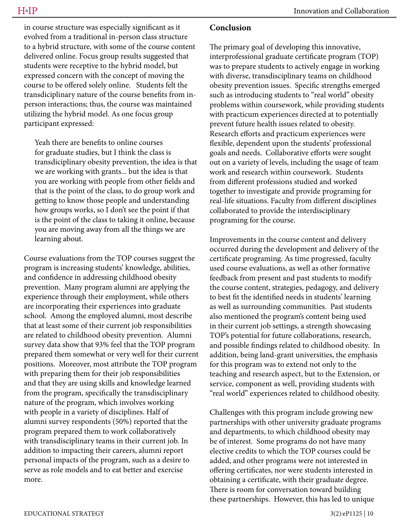in course structure was especially significant as it evolved from a traditional in-person class structure to a hybrid structure, with some of the course content delivered online. Focus group results suggested that students were receptive to the hybrid model, but expressed concern with the concept of moving the course to be offered solely online. Students felt the transdiciplinary nature of the course benefits from inperson interactions; thus, the course was maintained utilizing the hybrid model. As one focus group participant expressed:

Yeah there are benefits to online courses for graduate studies, but I think the class is transdiciplinary obesity prevention, the idea is that we are working with grants... but the idea is that you are working with people from other fields and that is the point of the class, to do group work and getting to know those people and understanding how groups works, so I don't see the point if that is the point of the class to taking it online, because you are moving away from all the things we are learning about.

Course evaluations from the TOP courses suggest the program is increasing students' knowledge, abilities, and confidence in addressing childhood obesity prevention. Many program alumni are applying the experience through their employment, while others are incorporating their experiences into graduate school. Among the employed alumni, most describe that at least some of their current job responsibilities are related to childhood obesity prevention. Alumni survey data show that 93% feel that the TOP program prepared them somewhat or very well for their current positions. Moreover, most attribute the TOP program with preparing them for their job responsibilities and that they are using skills and knowledge learned from the program, specifically the transdisciplinary nature of the program, which involves working with people in a variety of disciplines. Half of alumni survey respondents (50%) reported that the program prepared them to work collaboratively with transdisciplinary teams in their current job. In addition to impacting their careers, alumni report personal impacts of the program, such as a desire to serve as role models and to eat better and exercise more.

#### **Conclusion**

The primary goal of developing this innovative, interprofessional graduate certificate program (TOP) was to prepare students to actively engage in working with diverse, transdisciplinary teams on childhood obesity prevention issues. Specific strengths emerged such as introducing students to "real world" obesity problems within coursework, while providing students with practicum experiences directed at to potentially prevent future health issues related to obesity. Research efforts and practicum experiences were flexible, dependent upon the students' professional goals and needs. Collaborative efforts were sought out on a variety of levels, including the usage of team work and research within coursework. Students from different professions studied and worked together to investigate and provide programing for real-life situations. Faculty from different disciplines collaborated to provide the interdisciplinary programing for the course.

Improvements in the course content and delivery occurred during the development and delivery of the certificate programing. As time progressed, faculty used course evaluations, as well as other formative feedback from present and past students to modify the course content, strategies, pedagogy, and delivery to best fit the identified needs in students' learning as well as surrounding communities. Past students also mentioned the program's content being used in their current job settings, a strength showcasing TOP's potential for future collaborations, research, and possible findings related to childhood obesity. In addition, being land-grant universities, the emphasis for this program was to extend not only to the teaching and research aspect, but to the Extension, or service, component as well, providing students with "real world" experiences related to childhood obesity.

Challenges with this program include growing new partnerships with other university graduate programs and departments, to which childhood obesity may be of interest. Some programs do not have many elective credits to which the TOP courses could be added, and other programs were not interested in offering certificates, nor were students interested in obtaining a certificate, with their graduate degree. There is room for conversation toward building these partnerships. However, this has led to unique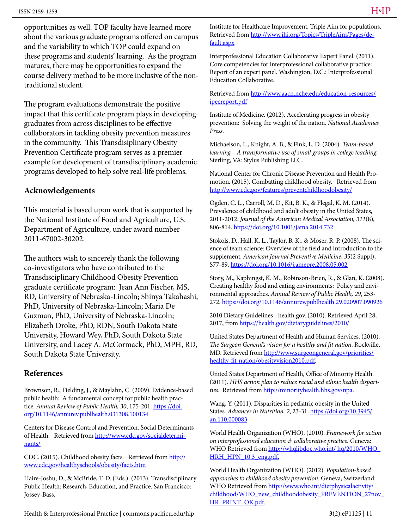opportunities as well. TOP faculty have learned more about the various graduate programs offered on campus and the variability to which TOP could expand on these programs and students' learning. As the program matures, there may be opportunities to expand the course delivery method to be more inclusive of the nontraditional student.

The program evaluations demonstrate the positive impact that this certificate program plays in developing graduates from across disciplines to be effective collaborators in tackling obesity prevention measures in the community. This Transdisiplinary Obesity Prevention Certificate program serves as a premier example for development of transdisciplinary academic programs developed to help solve real-life problems.

#### **Acknowledgements**

This material is based upon work that is supported by the National Institute of Food and Agriculture, U.S. Department of Agriculture, under award number 2011-67002-30202.

The authors wish to sincerely thank the following co-investigators who have contributed to the Transdisciplinary Childhood Obesity Prevention graduate certificate program: Jean Ann Fischer, MS, RD, University of Nebraska-Lincoln; Shinya Takahashi, PhD, University of Nebraska-Lincoln; Maria De Guzman, PhD, University of Nebraska-Lincoln; Elizabeth Droke, PhD, RDN, South Dakota State University, Howard Wey, PhD, South Dakota State University, and Lacey A. McCormack, PhD, MPH, RD, South Dakota State University.

#### **References**

Brownson, R., Fielding, J., & Maylahn, C. (2009). Evidence-based public health: A fundamental concept for public health practice. *Annual Review of Public Health, 30*, 175-201. https://doi. org/10.1146/annurev.publhealth.031308.100134

Centers for Disease Control and Prevention. Social Determinants of Health. Retrieved from http://www.cdc.gov/socialdeterminants/

CDC. (2015). Childhood obesity facts. Retrieved from http:// www.cdc.gov/healthyschools/obesity/facts.htm

Haire-Joshu, D., & McBride, T. D. (Eds.). (2013). Transdisciplinary Public Health: Research, Education, and Practice. San Francisco: Jossey-Bass.

Institute for Healthcare Improvement. Triple Aim for populations. Retrieved from http://www.ihi.org/Topics/TripleAim/Pages/default.aspx

Interprofessional Education Collaborative Expert Panel. (2011). Core competencies for interprofessional collaborative practice: Report of an expert panel. Washington, D.C.: Interprofessional Education Collaborative.

Retrieved from http://www.aacn.nche.edu/education-resources/ ipecreport.pdf

Institute of Medicine. (2012). Accelerating progress in obesity prevention: Solving the weight of the nation. *National Academies Press*.

Michaelson, L., Knight, A. B., & Fink, L. D. (2004). *Team-based learning – A transformative use of small groups in college teaching*. Sterling, VA: Stylus Publishing LLC.

National Center for Chronic Disease Prevention and Health Promotion. (2015). Combatting childhood obesity. Retrieved from http://www.cdc.gov/features/preventchildhoodobesity/

Ogden, C. L., Carroll, M. D., Kit, B. K., & Flegal, K. M. (2014). Prevalence of childhood and adult obesity in the United States, 2011-2012. *Journal of the American Medical Association, 311*(8), 806-814. https://doi.org/10.1001/jama.2014.732

Stokols, D., Hall, K. L., Taylor, B. K., & Moser, R. P. (2008). The science of team science: Overview of the field and introduction to the supplement. *American Journal Preventive Medicine, 35*(2 Suppl), S77-89. https://doi.org/10.1016/j.amepre.2008.05.002

Story, M., Kaphingst, K. M., Robinson-Brien, R., & Glan, K. (2008). Creating healthy food and eating environments: Policy and environmental approaches. *Annual Review of Public Health, 29*, 253- 272. https://doi.org/10.1146/annurev.publhealth.29.020907.090926

2010 Dietary Guidelines - health.gov. (2010). Retrieved April 28, 2017, from https://health.gov/dietaryguidelines/2010/

United States Department of Health and Human Services. (2010). *The Surgeon General's vision for a healthy and fit nation*. Rockville, MD. Retrieved from http://www.surgeongeneral.gov/priorities/ healthy-fit-nation/obesityvision2010.pdf.

United States Department of Health, Office of Minority Health. (2011). *HHS action plan to reduce racial and ethnic health disparities*. Retrieved from http://minorityhealth.hhs.gov/npa.

Wang, Y. (2011). Disparities in pediatric obesity in the United States. *Advances in Nutrition*, 2, 23-31. https://doi.org/10.3945/ an.110.000083

World Health Organization (WHO). (2010). *Framework for action on interprofessional education & collaborative practice.* Geneva: WHO Retrieved from http://whqlibdoc.who.int/ hq/2010/WHO HRH\_HPN\_10.3\_eng.pdf.

World Health Organization (WHO). (2012). *Population-based approaches to childhood obesity prevention*. Geneva, Switzerland: WHO Retrieved from http://www.who.int/dietphysicalactivity/ childhood/WHO\_new\_childhoodobesity\_PREVENTION\_27nov\_ HR\_PRINT\_OK.pdf.

Health & Interprofessional Practice | commons.pacificu.edu/hip **3**(2):eP1125 | 11